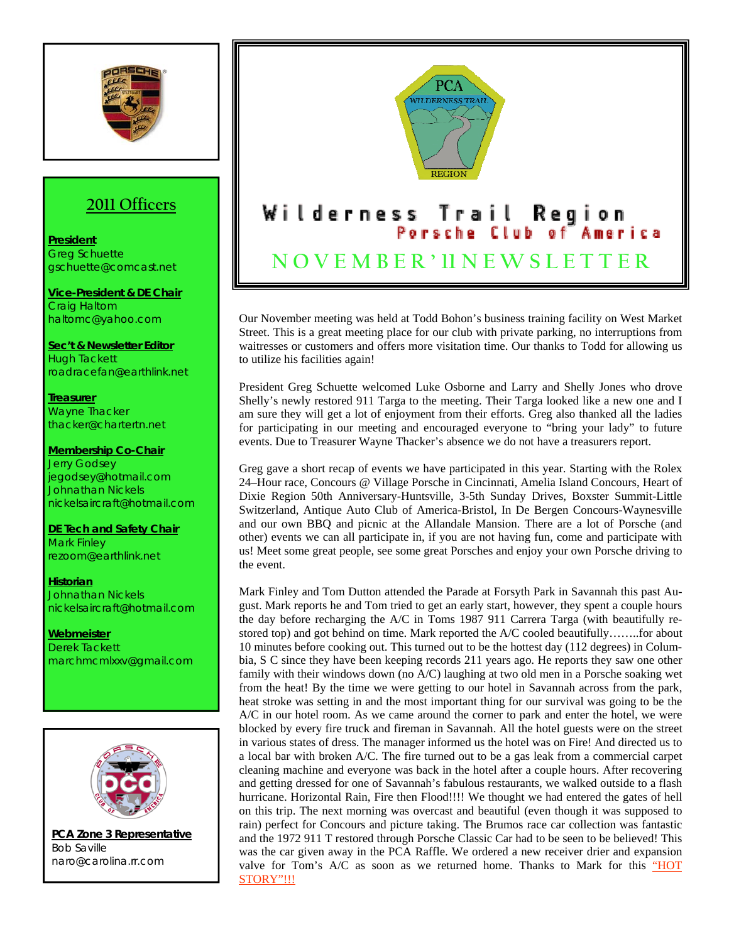

## **2011 Officers**

**President** Greg Schuette gschuette@comcast.net

**Vice-President & DE Chair** Craig Haltom haltomc@yahoo.com

**Sec't & Newsletter Editor** Hugh Tackett roadracefan@earthlink.net

**Treasurer** Wayne Thacker thacker@chartertn.net

**Membership Co-Chair** Jerry Godsey jegodsey@hotmail.com Johnathan Nickels nickelsaircraft@hotmail.com

**DE Tech and Safety Chair** Mark Finley rezoom@earthlink.net

**Historian** Johnathan Nickels nickelsaircraft@hotmail.com

**Webmeister** Derek Tackett marchmcmlxxv@gmail.com



**PCA Zone 3 Representative** Bob Saville naro@carolina.rr.com



Our November meeting was held at Todd Bohon's business training facility on West Market Street. This is a great meeting place for our club with private parking, no interruptions from waitresses or customers and offers more visitation time. Our thanks to Todd for allowing us to utilize his facilities again!

President Greg Schuette welcomed Luke Osborne and Larry and Shelly Jones who drove Shelly's newly restored 911 Targa to the meeting. Their Targa looked like a new one and I am sure they will get a lot of enjoyment from their efforts. Greg also thanked all the ladies for participating in our meeting and encouraged everyone to "bring your lady" to future events. Due to Treasurer Wayne Thacker's absence we do not have a treasurers report.

Greg gave a short recap of events we have participated in this year. Starting with the Rolex 24–Hour race, Concours @ Village Porsche in Cincinnati, Amelia Island Concours, Heart of Dixie Region 50th Anniversary-Huntsville, 3-5th Sunday Drives, Boxster Summit-Little Switzerland, Antique Auto Club of America-Bristol, In De Bergen Concours-Waynesville and our own BBQ and picnic at the Allandale Mansion. There are a lot of Porsche (and other) events we can all participate in, if you are not having fun, come and participate with us! Meet some great people, see some great Porsches and enjoy your own Porsche driving to the event.

Mark Finley and Tom Dutton attended the Parade at Forsyth Park in Savannah this past August. Mark reports he and Tom tried to get an early start, however, they spent a couple hours the day before recharging the A/C in Toms 1987 911 Carrera Targa (with beautifully restored top) and got behind on time. Mark reported the A/C cooled beautifully……..for about 10 minutes before cooking out. This turned out to be the hottest day (112 degrees) in Columbia, S C since they have been keeping records 211 years ago. He reports they saw one other family with their windows down (no A/C) laughing at two old men in a Porsche soaking wet from the heat! By the time we were getting to our hotel in Savannah across from the park, heat stroke was setting in and the most important thing for our survival was going to be the A/C in our hotel room. As we came around the corner to park and enter the hotel, we were blocked by every fire truck and fireman in Savannah. All the hotel guests were on the street in various states of dress. The manager informed us the hotel was on Fire! And directed us to a local bar with broken A/C. The fire turned out to be a gas leak from a commercial carpet cleaning machine and everyone was back in the hotel after a couple hours. After recovering and getting dressed for one of Savannah's fabulous restaurants, we walked outside to a flash hurricane. Horizontal Rain, Fire then Flood!!!! We thought we had entered the gates of hell on this trip. The next morning was overcast and beautiful (even though it was supposed to rain) perfect for Concours and picture taking. The Brumos race car collection was fantastic and the 1972 911 T restored through Porsche Classic Car had to be seen to be believed! This was the car given away in the PCA Raffle. We ordered a new receiver drier and expansion valve for Tom's A/C as soon as we returned home. Thanks to Mark for this "HOT STORY"!!!